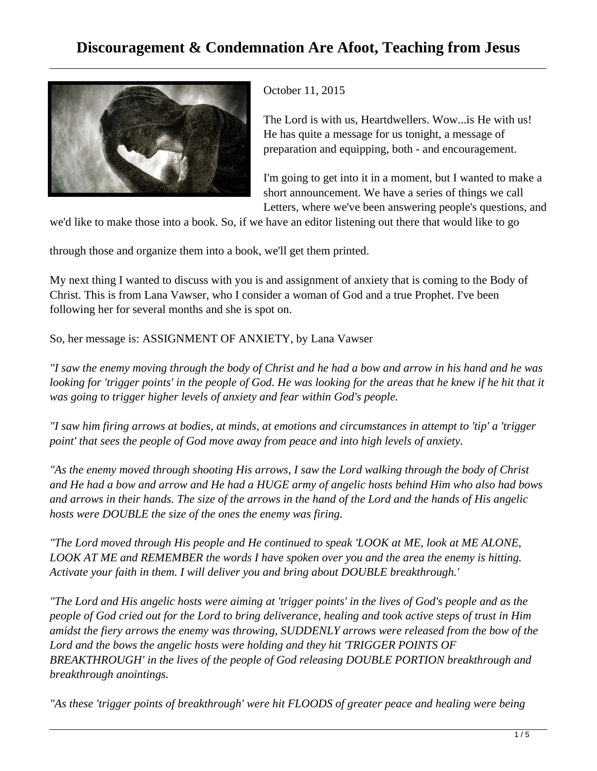## **Discouragement & Condemnation Are Afoot, Teaching from Jesus**



October 11, 2015

The Lord is with us, Heartdwellers. Wow...is He with us! He has quite a message for us tonight, a message of preparation and equipping, both - and encouragement.

I'm going to get into it in a moment, but I wanted to make a short announcement. We have a series of things we call Letters, where we've been answering people's questions, and

we'd like to make those into a book. So, if we have an editor listening out there that would like to go

through those and organize them into a book, we'll get them printed.

My next thing I wanted to discuss with you is and assignment of anxiety that is coming to the Body of Christ. This is from Lana Vawser, who I consider a woman of God and a true Prophet. I've been following her for several months and she is spot on.

So, her message is: ASSIGNMENT OF ANXIETY, by Lana Vawser

*"I saw the enemy moving through the body of Christ and he had a bow and arrow in his hand and he was* looking for 'trigger points' in the people of God. He was looking for the areas that he knew if he hit that it *was going to trigger higher levels of anxiety and fear within God's people.*

*"I saw him firing arrows at bodies, at minds, at emotions and circumstances in attempt to 'tip' a 'trigger point' that sees the people of God move away from peace and into high levels of anxiety.*

*"As the enemy moved through shooting His arrows, I saw the Lord walking through the body of Christ and He had a bow and arrow and He had a HUGE army of angelic hosts behind Him who also had bows and arrows in their hands. The size of the arrows in the hand of the Lord and the hands of His angelic hosts were DOUBLE the size of the ones the enemy was firing.*

*"The Lord moved through His people and He continued to speak 'LOOK at ME, look at ME ALONE, LOOK AT ME and REMEMBER the words I have spoken over you and the area the enemy is hitting. Activate your faith in them. I will deliver you and bring about DOUBLE breakthrough.'*

*"The Lord and His angelic hosts were aiming at 'trigger points' in the lives of God's people and as the people of God cried out for the Lord to bring deliverance, healing and took active steps of trust in Him amidst the fiery arrows the enemy was throwing, SUDDENLY arrows were released from the bow of the Lord and the bows the angelic hosts were holding and they hit 'TRIGGER POINTS OF BREAKTHROUGH' in the lives of the people of God releasing DOUBLE PORTION breakthrough and breakthrough anointings.*

*"As these 'trigger points of breakthrough' were hit FLOODS of greater peace and healing were being*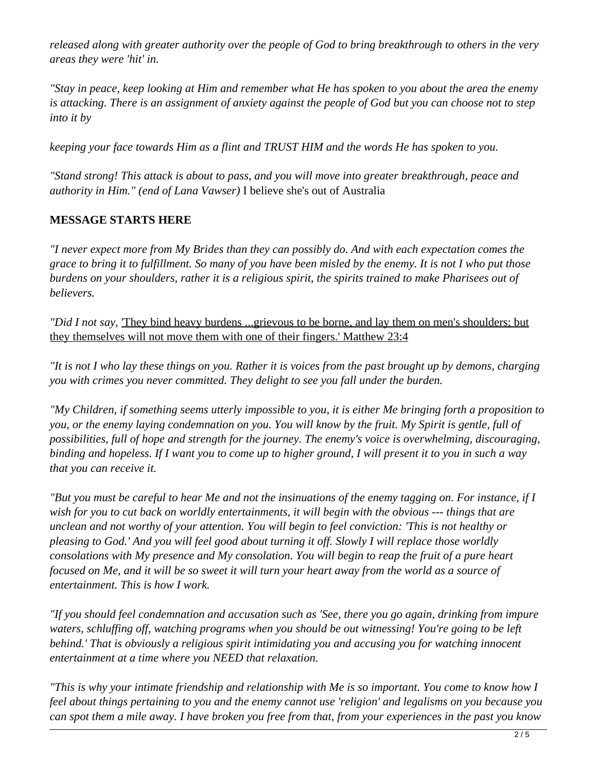*released along with greater authority over the people of God to bring breakthrough to others in the very areas they were 'hit' in.*

*"Stay in peace, keep looking at Him and remember what He has spoken to you about the area the enemy is attacking. There is an assignment of anxiety against the people of God but you can choose not to step into it by*

*keeping your face towards Him as a flint and TRUST HIM and the words He has spoken to you.*

*"Stand strong! This attack is about to pass, and you will move into greater breakthrough, peace and authority in Him." (end of Lana Vawser)* I believe she's out of Australia

## **MESSAGE STARTS HERE**

*"I never expect more from My Brides than they can possibly do. And with each expectation comes the grace to bring it to fulfillment. So many of you have been misled by the enemy. It is not I who put those burdens on your shoulders, rather it is a religious spirit, the spirits trained to make Pharisees out of believers.*

*"Did I not say,* 'They bind heavy burdens ...grievous to be borne, and lay them on men's shoulders; but they themselves will not move them with one of their fingers.' Matthew 23:4

*"It is not I who lay these things on you. Rather it is voices from the past brought up by demons, charging you with crimes you never committed. They delight to see you fall under the burden.*

*"My Children, if something seems utterly impossible to you, it is either Me bringing forth a proposition to you, or the enemy laying condemnation on you. You will know by the fruit. My Spirit is gentle, full of possibilities, full of hope and strength for the journey. The enemy's voice is overwhelming, discouraging, binding and hopeless. If I want you to come up to higher ground, I will present it to you in such a way that you can receive it.*

*"But you must be careful to hear Me and not the insinuations of the enemy tagging on. For instance, if I wish for you to cut back on worldly entertainments, it will begin with the obvious --- things that are unclean and not worthy of your attention. You will begin to feel conviction: 'This is not healthy or pleasing to God.' And you will feel good about turning it off. Slowly I will replace those worldly consolations with My presence and My consolation. You will begin to reap the fruit of a pure heart focused on Me, and it will be so sweet it will turn your heart away from the world as a source of entertainment. This is how I work.*

*"If you should feel condemnation and accusation such as 'See, there you go again, drinking from impure waters, schluffing off, watching programs when you should be out witnessing! You're going to be left behind.' That is obviously a religious spirit intimidating you and accusing you for watching innocent entertainment at a time where you NEED that relaxation.*

*"This is why your intimate friendship and relationship with Me is so important. You come to know how I feel about things pertaining to you and the enemy cannot use 'religion' and legalisms on you because you can spot them a mile away. I have broken you free from that, from your experiences in the past you know*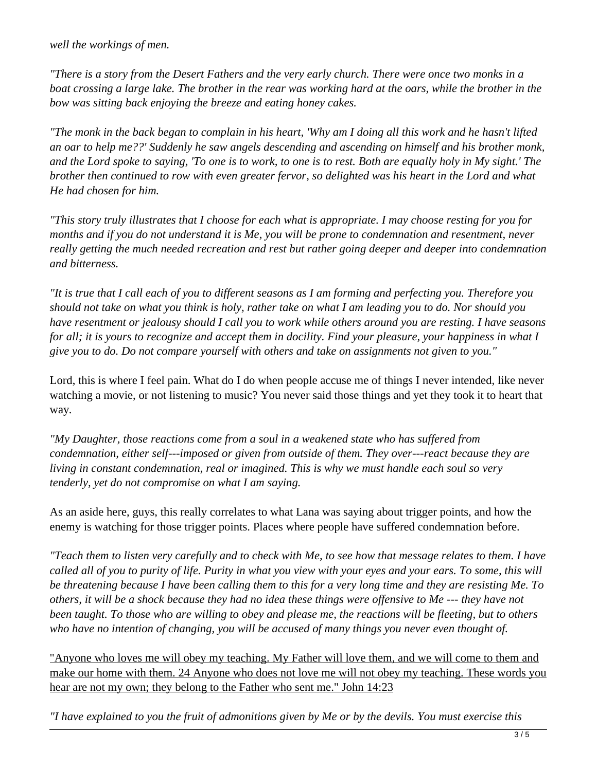*well the workings of men.*

*"There is a story from the Desert Fathers and the very early church. There were once two monks in a boat crossing a large lake. The brother in the rear was working hard at the oars, while the brother in the bow was sitting back enjoying the breeze and eating honey cakes.*

*"The monk in the back began to complain in his heart, 'Why am I doing all this work and he hasn't lifted an oar to help me??' Suddenly he saw angels descending and ascending on himself and his brother monk, and the Lord spoke to saying, 'To one is to work, to one is to rest. Both are equally holy in My sight.' The brother then continued to row with even greater fervor, so delighted was his heart in the Lord and what He had chosen for him.*

*"This story truly illustrates that I choose for each what is appropriate. I may choose resting for you for months and if you do not understand it is Me, you will be prone to condemnation and resentment, never really getting the much needed recreation and rest but rather going deeper and deeper into condemnation and bitterness.*

*"It is true that I call each of you to different seasons as I am forming and perfecting you. Therefore you should not take on what you think is holy, rather take on what I am leading you to do. Nor should you have resentment or jealousy should I call you to work while others around you are resting. I have seasons for all; it is yours to recognize and accept them in docility. Find your pleasure, your happiness in what I give you to do. Do not compare yourself with others and take on assignments not given to you."*

Lord, this is where I feel pain. What do I do when people accuse me of things I never intended, like never watching a movie, or not listening to music? You never said those things and yet they took it to heart that way*.*

*"My Daughter, those reactions come from a soul in a weakened state who has suffered from condemnation, either self---imposed or given from outside of them. They over---react because they are living in constant condemnation, real or imagined. This is why we must handle each soul so very tenderly, yet do not compromise on what I am saying.*

As an aside here, guys, this really correlates to what Lana was saying about trigger points, and how the enemy is watching for those trigger points. Places where people have suffered condemnation before.

*"Teach them to listen very carefully and to check with Me, to see how that message relates to them. I have called all of you to purity of life. Purity in what you view with your eyes and your ears. To some, this will be threatening because I have been calling them to this for a very long time and they are resisting Me. To others, it will be a shock because they had no idea these things were offensive to Me --- they have not been taught. To those who are willing to obey and please me, the reactions will be fleeting, but to others who have no intention of changing, you will be accused of many things you never even thought of.*

"Anyone who loves me will obey my teaching. My Father will love them, and we will come to them and make our home with them. 24 Anyone who does not love me will not obey my teaching. These words you hear are not my own; they belong to the Father who sent me." John 14:23

*"I have explained to you the fruit of admonitions given by Me or by the devils. You must exercise this*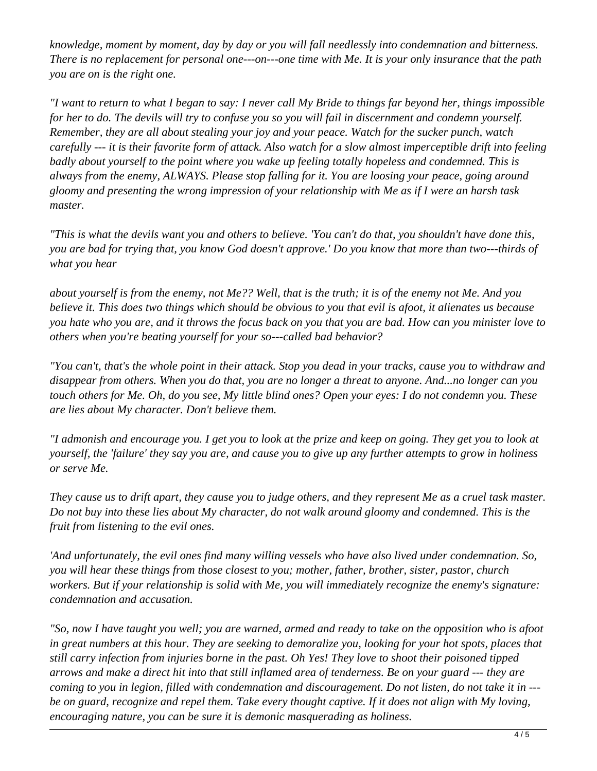*knowledge, moment by moment, day by day or you will fall needlessly into condemnation and bitterness. There is no replacement for personal one---on---one time with Me. It is your only insurance that the path you are on is the right one.*

*"I want to return to what I began to say: I never call My Bride to things far beyond her, things impossible for her to do. The devils will try to confuse you so you will fail in discernment and condemn yourself. Remember, they are all about stealing your joy and your peace. Watch for the sucker punch, watch carefully --- it is their favorite form of attack. Also watch for a slow almost imperceptible drift into feeling badly about yourself to the point where you wake up feeling totally hopeless and condemned. This is always from the enemy, ALWAYS. Please stop falling for it. You are loosing your peace, going around gloomy and presenting the wrong impression of your relationship with Me as if I were an harsh task master.*

*"This is what the devils want you and others to believe. 'You can't do that, you shouldn't have done this, you are bad for trying that, you know God doesn't approve.' Do you know that more than two---thirds of what you hear*

*about yourself is from the enemy, not Me?? Well, that is the truth; it is of the enemy not Me. And you believe it. This does two things which should be obvious to you that evil is afoot, it alienates us because you hate who you are, and it throws the focus back on you that you are bad. How can you minister love to others when you're beating yourself for your so---called bad behavior?*

*"You can't, that's the whole point in their attack. Stop you dead in your tracks, cause you to withdraw and disappear from others. When you do that, you are no longer a threat to anyone. And...no longer can you touch others for Me. Oh, do you see, My little blind ones? Open your eyes: I do not condemn you. These are lies about My character. Don't believe them.*

*"I admonish and encourage you. I get you to look at the prize and keep on going. They get you to look at yourself, the 'failure' they say you are, and cause you to give up any further attempts to grow in holiness or serve Me.*

*They cause us to drift apart, they cause you to judge others, and they represent Me as a cruel task master. Do not buy into these lies about My character, do not walk around gloomy and condemned. This is the fruit from listening to the evil ones.*

*'And unfortunately, the evil ones find many willing vessels who have also lived under condemnation. So, you will hear these things from those closest to you; mother, father, brother, sister, pastor, church workers. But if your relationship is solid with Me, you will immediately recognize the enemy's signature: condemnation and accusation.*

*"So, now I have taught you well; you are warned, armed and ready to take on the opposition who is afoot in great numbers at this hour. They are seeking to demoralize you, looking for your hot spots, places that still carry infection from injuries borne in the past. Oh Yes! They love to shoot their poisoned tipped arrows and make a direct hit into that still inflamed area of tenderness. Be on your guard --- they are coming to you in legion, filled with condemnation and discouragement. Do not listen, do not take it in -- be on guard, recognize and repel them. Take every thought captive. If it does not align with My loving, encouraging nature, you can be sure it is demonic masquerading as holiness.*